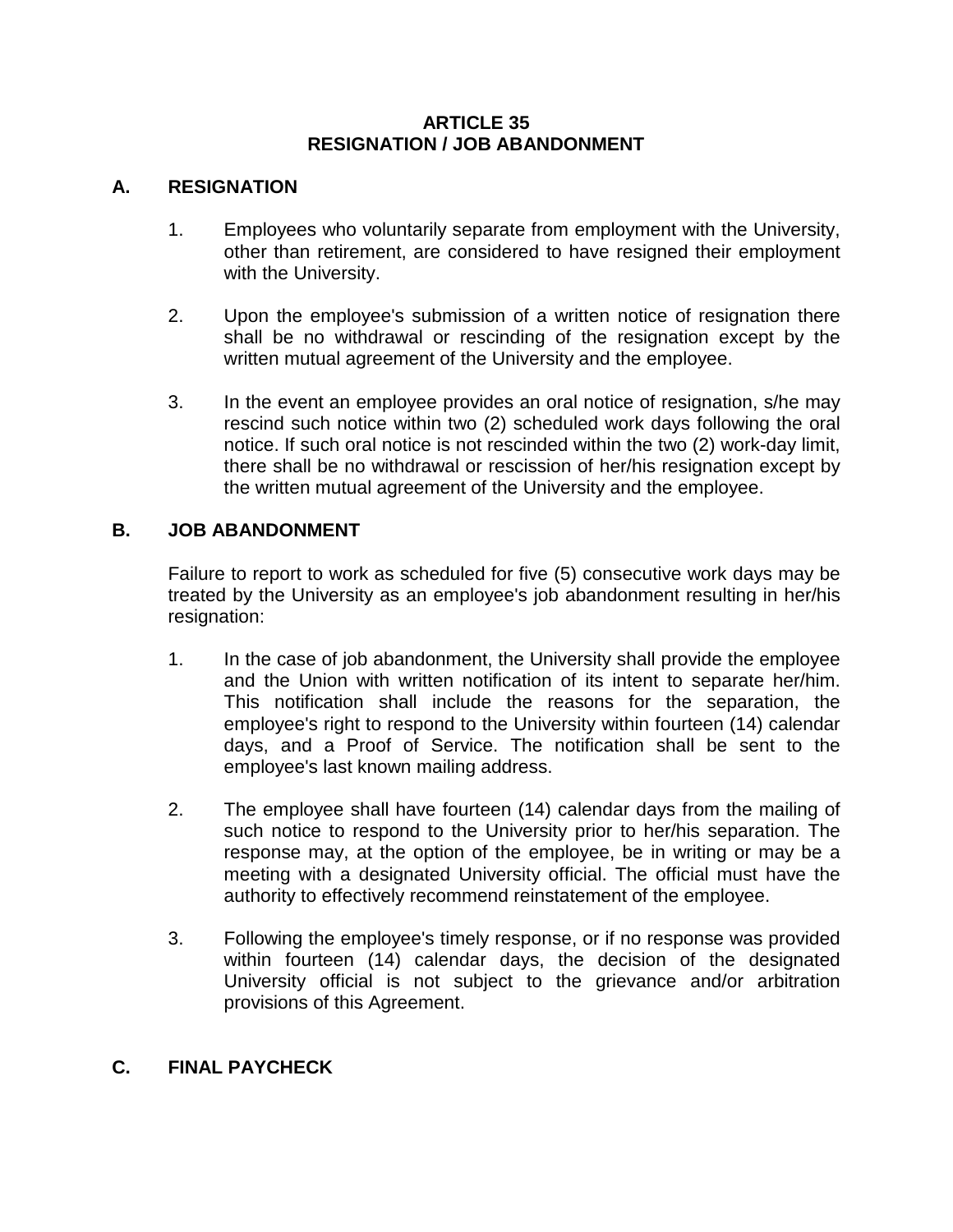## **ARTICLE 35 RESIGNATION / JOB ABANDONMENT**

## **A. RESIGNATION**

- 1. Employees who voluntarily separate from employment with the University, other than retirement, are considered to have resigned their employment with the University.
- 2. Upon the employee's submission of a written notice of resignation there shall be no withdrawal or rescinding of the resignation except by the written mutual agreement of the University and the employee.
- 3. In the event an employee provides an oral notice of resignation, s/he may rescind such notice within two (2) scheduled work days following the oral notice. If such oral notice is not rescinded within the two (2) work-day limit, there shall be no withdrawal or rescission of her/his resignation except by the written mutual agreement of the University and the employee.

## **B. JOB ABANDONMENT**

Failure to report to work as scheduled for five (5) consecutive work days may be treated by the University as an employee's job abandonment resulting in her/his resignation:

- 1. In the case of job abandonment, the University shall provide the employee and the Union with written notification of its intent to separate her/him. This notification shall include the reasons for the separation, the employee's right to respond to the University within fourteen (14) calendar days, and a Proof of Service. The notification shall be sent to the employee's last known mailing address.
- 2. The employee shall have fourteen (14) calendar days from the mailing of such notice to respond to the University prior to her/his separation. The response may, at the option of the employee, be in writing or may be a meeting with a designated University official. The official must have the authority to effectively recommend reinstatement of the employee.
- 3. Following the employee's timely response, or if no response was provided within fourteen (14) calendar days, the decision of the designated University official is not subject to the grievance and/or arbitration provisions of this Agreement.

## **C. FINAL PAYCHECK**